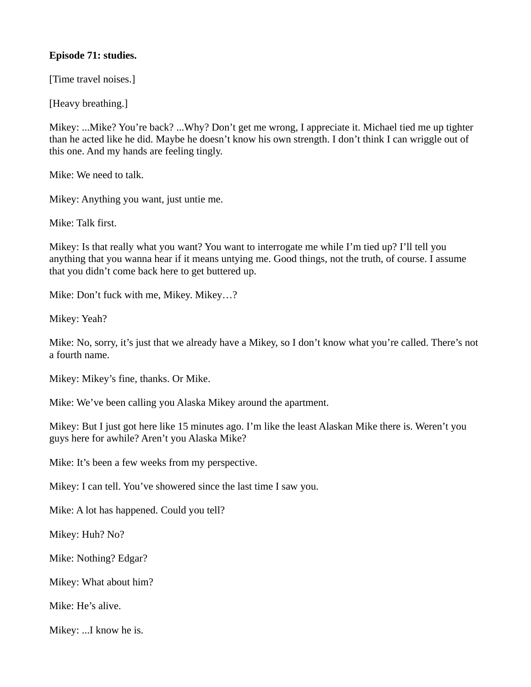## **Episode 71: studies.**

[Time travel noises.]

[Heavy breathing.]

Mikey: ...Mike? You're back? ...Why? Don't get me wrong, I appreciate it. Michael tied me up tighter than he acted like he did. Maybe he doesn't know his own strength. I don't think I can wriggle out of this one. And my hands are feeling tingly.

Mike: We need to talk.

Mikey: Anything you want, just untie me.

Mike: Talk first.

Mikey: Is that really what you want? You want to interrogate me while I'm tied up? I'll tell you anything that you wanna hear if it means untying me. Good things, not the truth, of course. I assume that you didn't come back here to get buttered up.

Mike: Don't fuck with me, Mikey. Mikey…?

Mikey: Yeah?

Mike: No, sorry, it's just that we already have a Mikey, so I don't know what you're called. There's not a fourth name.

Mikey: Mikey's fine, thanks. Or Mike.

Mike: We've been calling you Alaska Mikey around the apartment.

Mikey: But I just got here like 15 minutes ago. I'm like the least Alaskan Mike there is. Weren't you guys here for awhile? Aren't you Alaska Mike?

Mike: It's been a few weeks from my perspective.

Mikey: I can tell. You've showered since the last time I saw you.

Mike: A lot has happened. Could you tell?

Mikey: Huh? No?

Mike: Nothing? Edgar?

Mikey: What about him?

Mike: He's alive.

Mikey: ...I know he is.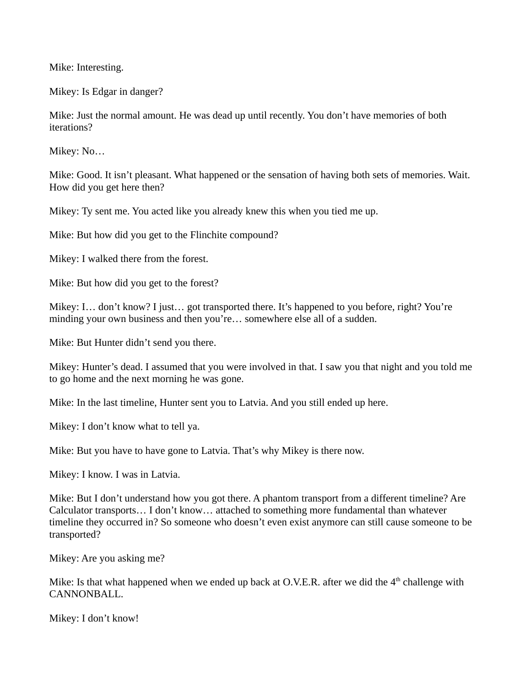Mike: Interesting.

Mikey: Is Edgar in danger?

Mike: Just the normal amount. He was dead up until recently. You don't have memories of both iterations?

Mikey: No…

Mike: Good. It isn't pleasant. What happened or the sensation of having both sets of memories. Wait. How did you get here then?

Mikey: Ty sent me. You acted like you already knew this when you tied me up.

Mike: But how did you get to the Flinchite compound?

Mikey: I walked there from the forest.

Mike: But how did you get to the forest?

Mikey: I… don't know? I just… got transported there. It's happened to you before, right? You're minding your own business and then you're… somewhere else all of a sudden.

Mike: But Hunter didn't send you there.

Mikey: Hunter's dead. I assumed that you were involved in that. I saw you that night and you told me to go home and the next morning he was gone.

Mike: In the last timeline, Hunter sent you to Latvia. And you still ended up here.

Mikey: I don't know what to tell ya.

Mike: But you have to have gone to Latvia. That's why Mikey is there now.

Mikey: I know. I was in Latvia.

Mike: But I don't understand how you got there. A phantom transport from a different timeline? Are Calculator transports… I don't know… attached to something more fundamental than whatever timeline they occurred in? So someone who doesn't even exist anymore can still cause someone to be transported?

Mikey: Are you asking me?

Mike: Is that what happened when we ended up back at O.V.E.R. after we did the  $4<sup>th</sup>$  challenge with CANNONBALL.

Mikey: I don't know!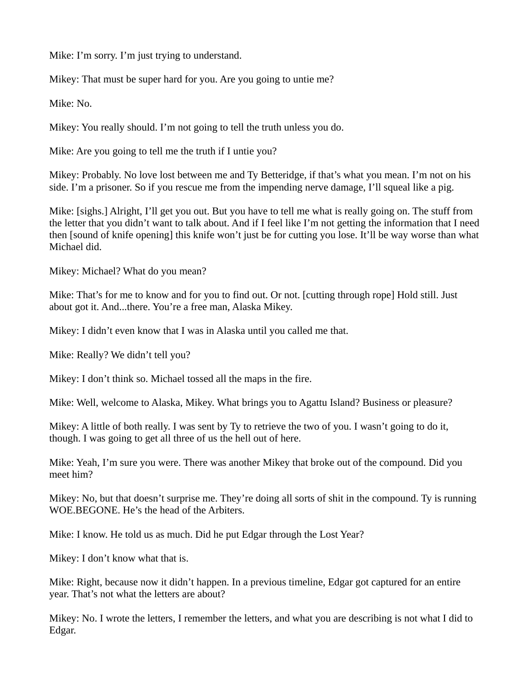Mike: I'm sorry. I'm just trying to understand.

Mikey: That must be super hard for you. Are you going to untie me?

Mike: No.

Mikey: You really should. I'm not going to tell the truth unless you do.

Mike: Are you going to tell me the truth if I untie you?

Mikey: Probably. No love lost between me and Ty Betteridge, if that's what you mean. I'm not on his side. I'm a prisoner. So if you rescue me from the impending nerve damage, I'll squeal like a pig.

Mike: [sighs.] Alright, I'll get you out. But you have to tell me what is really going on. The stuff from the letter that you didn't want to talk about. And if I feel like I'm not getting the information that I need then [sound of knife opening] this knife won't just be for cutting you lose. It'll be way worse than what Michael did.

Mikey: Michael? What do you mean?

Mike: That's for me to know and for you to find out. Or not. [cutting through rope] Hold still. Just about got it. And...there. You're a free man, Alaska Mikey.

Mikey: I didn't even know that I was in Alaska until you called me that.

Mike: Really? We didn't tell you?

Mikey: I don't think so. Michael tossed all the maps in the fire.

Mike: Well, welcome to Alaska, Mikey. What brings you to Agattu Island? Business or pleasure?

Mikey: A little of both really. I was sent by Ty to retrieve the two of you. I wasn't going to do it, though. I was going to get all three of us the hell out of here.

Mike: Yeah, I'm sure you were. There was another Mikey that broke out of the compound. Did you meet him?

Mikey: No, but that doesn't surprise me. They're doing all sorts of shit in the compound. Ty is running WOE.BEGONE. He's the head of the Arbiters.

Mike: I know. He told us as much. Did he put Edgar through the Lost Year?

Mikey: I don't know what that is.

Mike: Right, because now it didn't happen. In a previous timeline, Edgar got captured for an entire year. That's not what the letters are about?

Mikey: No. I wrote the letters, I remember the letters, and what you are describing is not what I did to Edgar.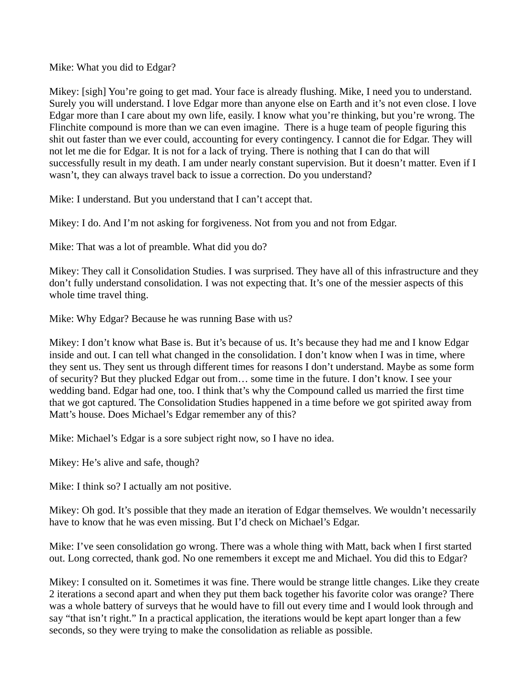Mike: What you did to Edgar?

Mikey: [sigh] You're going to get mad. Your face is already flushing. Mike, I need you to understand. Surely you will understand. I love Edgar more than anyone else on Earth and it's not even close. I love Edgar more than I care about my own life, easily. I know what you're thinking, but you're wrong. The Flinchite compound is more than we can even imagine. There is a huge team of people figuring this shit out faster than we ever could, accounting for every contingency. I cannot die for Edgar. They will not let me die for Edgar. It is not for a lack of trying. There is nothing that I can do that will successfully result in my death. I am under nearly constant supervision. But it doesn't matter. Even if I wasn't, they can always travel back to issue a correction. Do you understand?

Mike: I understand. But you understand that I can't accept that.

Mikey: I do. And I'm not asking for forgiveness. Not from you and not from Edgar.

Mike: That was a lot of preamble. What did you do?

Mikey: They call it Consolidation Studies. I was surprised. They have all of this infrastructure and they don't fully understand consolidation. I was not expecting that. It's one of the messier aspects of this whole time travel thing.

Mike: Why Edgar? Because he was running Base with us?

Mikey: I don't know what Base is. But it's because of us. It's because they had me and I know Edgar inside and out. I can tell what changed in the consolidation. I don't know when I was in time, where they sent us. They sent us through different times for reasons I don't understand. Maybe as some form of security? But they plucked Edgar out from… some time in the future. I don't know. I see your wedding band. Edgar had one, too. I think that's why the Compound called us married the first time that we got captured. The Consolidation Studies happened in a time before we got spirited away from Matt's house. Does Michael's Edgar remember any of this?

Mike: Michael's Edgar is a sore subject right now, so I have no idea.

Mikey: He's alive and safe, though?

Mike: I think so? I actually am not positive.

Mikey: Oh god. It's possible that they made an iteration of Edgar themselves. We wouldn't necessarily have to know that he was even missing. But I'd check on Michael's Edgar.

Mike: I've seen consolidation go wrong. There was a whole thing with Matt, back when I first started out. Long corrected, thank god. No one remembers it except me and Michael. You did this to Edgar?

Mikey: I consulted on it. Sometimes it was fine. There would be strange little changes. Like they create 2 iterations a second apart and when they put them back together his favorite color was orange? There was a whole battery of surveys that he would have to fill out every time and I would look through and say "that isn't right." In a practical application, the iterations would be kept apart longer than a few seconds, so they were trying to make the consolidation as reliable as possible.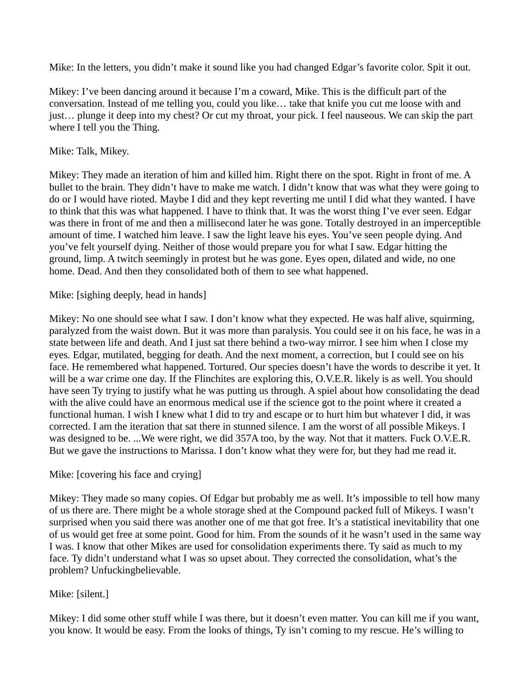Mike: In the letters, you didn't make it sound like you had changed Edgar's favorite color. Spit it out.

Mikey: I've been dancing around it because I'm a coward, Mike. This is the difficult part of the conversation. Instead of me telling you, could you like… take that knife you cut me loose with and just… plunge it deep into my chest? Or cut my throat, your pick. I feel nauseous. We can skip the part where I tell you the Thing.

# Mike: Talk, Mikey.

Mikey: They made an iteration of him and killed him. Right there on the spot. Right in front of me. A bullet to the brain. They didn't have to make me watch. I didn't know that was what they were going to do or I would have rioted. Maybe I did and they kept reverting me until I did what they wanted. I have to think that this was what happened. I have to think that. It was the worst thing I've ever seen. Edgar was there in front of me and then a millisecond later he was gone. Totally destroyed in an imperceptible amount of time. I watched him leave. I saw the light leave his eyes. You've seen people dying. And you've felt yourself dying. Neither of those would prepare you for what I saw. Edgar hitting the ground, limp. A twitch seemingly in protest but he was gone. Eyes open, dilated and wide, no one home. Dead. And then they consolidated both of them to see what happened.

## Mike: [sighing deeply, head in hands]

Mikey: No one should see what I saw. I don't know what they expected. He was half alive, squirming, paralyzed from the waist down. But it was more than paralysis. You could see it on his face, he was in a state between life and death. And I just sat there behind a two-way mirror. I see him when I close my eyes. Edgar, mutilated, begging for death. And the next moment, a correction, but I could see on his face. He remembered what happened. Tortured. Our species doesn't have the words to describe it yet. It will be a war crime one day. If the Flinchites are exploring this, O.V.E.R. likely is as well. You should have seen Ty trying to justify what he was putting us through. A spiel about how consolidating the dead with the alive could have an enormous medical use if the science got to the point where it created a functional human. I wish I knew what I did to try and escape or to hurt him but whatever I did, it was corrected. I am the iteration that sat there in stunned silence. I am the worst of all possible Mikeys. I was designed to be. ...We were right, we did 357A too, by the way. Not that it matters. Fuck O.V.E.R. But we gave the instructions to Marissa. I don't know what they were for, but they had me read it.

# Mike: [covering his face and crying]

Mikey: They made so many copies. Of Edgar but probably me as well. It's impossible to tell how many of us there are. There might be a whole storage shed at the Compound packed full of Mikeys. I wasn't surprised when you said there was another one of me that got free. It's a statistical inevitability that one of us would get free at some point. Good for him. From the sounds of it he wasn't used in the same way I was. I know that other Mikes are used for consolidation experiments there. Ty said as much to my face. Ty didn't understand what I was so upset about. They corrected the consolidation, what's the problem? Unfuckingbelievable.

# Mike: [silent.]

Mikey: I did some other stuff while I was there, but it doesn't even matter. You can kill me if you want, you know. It would be easy. From the looks of things, Ty isn't coming to my rescue. He's willing to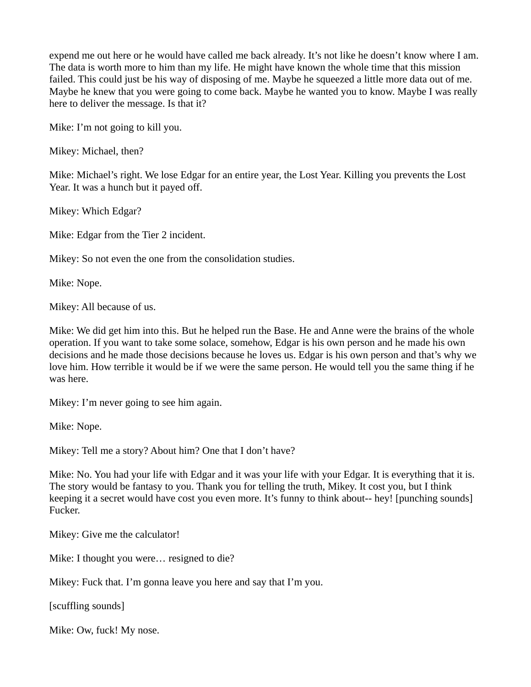expend me out here or he would have called me back already. It's not like he doesn't know where I am. The data is worth more to him than my life. He might have known the whole time that this mission failed. This could just be his way of disposing of me. Maybe he squeezed a little more data out of me. Maybe he knew that you were going to come back. Maybe he wanted you to know. Maybe I was really here to deliver the message. Is that it?

Mike: I'm not going to kill you.

Mikey: Michael, then?

Mike: Michael's right. We lose Edgar for an entire year, the Lost Year. Killing you prevents the Lost Year. It was a hunch but it payed off.

Mikey: Which Edgar?

Mike: Edgar from the Tier 2 incident.

Mikey: So not even the one from the consolidation studies.

Mike: Nope.

Mikey: All because of us.

Mike: We did get him into this. But he helped run the Base. He and Anne were the brains of the whole operation. If you want to take some solace, somehow, Edgar is his own person and he made his own decisions and he made those decisions because he loves us. Edgar is his own person and that's why we love him. How terrible it would be if we were the same person. He would tell you the same thing if he was here.

Mikey: I'm never going to see him again.

Mike: Nope.

Mikey: Tell me a story? About him? One that I don't have?

Mike: No. You had your life with Edgar and it was your life with your Edgar. It is everything that it is. The story would be fantasy to you. Thank you for telling the truth, Mikey. It cost you, but I think keeping it a secret would have cost you even more. It's funny to think about-- hey! [punching sounds] Fucker.

Mikey: Give me the calculator!

Mike: I thought you were… resigned to die?

Mikey: Fuck that. I'm gonna leave you here and say that I'm you.

[scuffling sounds]

Mike: Ow, fuck! My nose.